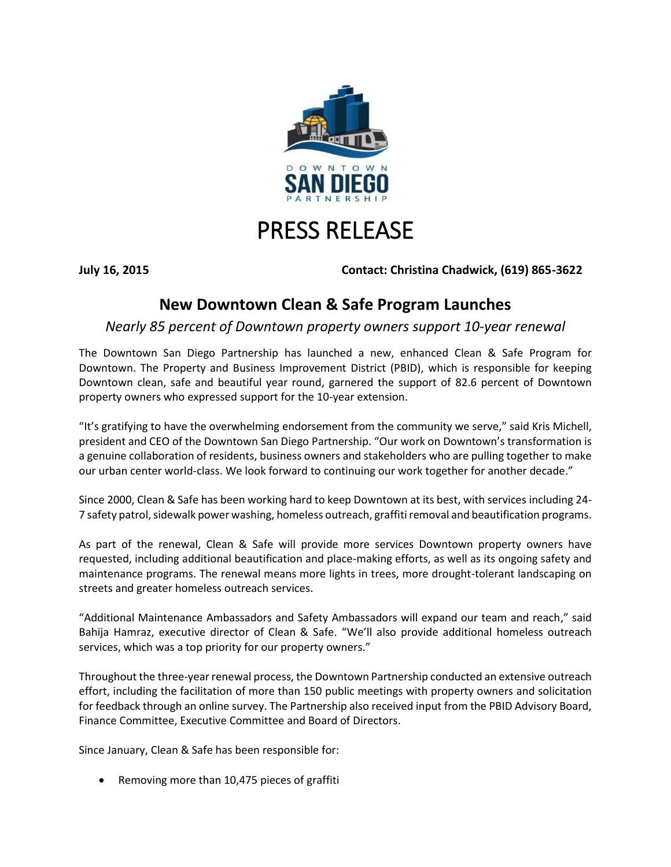

## PRESS RELEASE

**July 16, 2015 Contact: Christina Chadwick, (619) 865-3622**

## **New Downtown Clean & Safe Program Launches**

*Nearly 85 percent of Downtown property owners support 10-year renewal*

The Downtown San Diego Partnership has launched a new, enhanced Clean & Safe Program for Downtown. The Property and Business Improvement District (PBID), which is responsible for keeping Downtown clean, safe and beautiful year round, garnered the support of 82.6 percent of Downtown property owners who expressed support for the 10-year extension.

"It's gratifying to have the overwhelming endorsement from the community we serve," said Kris Michell, president and CEO of the Downtown San Diego Partnership. "Our work on Downtown's transformation is a genuine collaboration of residents, business owners and stakeholders who are pulling together to make our urban center world-class. We look forward to continuing our work together for another decade."

Since 2000, Clean & Safe has been working hard to keep Downtown at its best, with services including 24- 7 safety patrol, sidewalk power washing, homeless outreach, graffiti removal and beautification programs.

As part of the renewal, Clean & Safe will provide more services Downtown property owners have requested, including additional beautification and place-making efforts, as well as its ongoing safety and maintenance programs. The renewal means more lights in trees, more drought-tolerant landscaping on streets and greater homeless outreach services.

"Additional Maintenance Ambassadors and Safety Ambassadors will expand our team and reach," said Bahija Hamraz, executive director of Clean & Safe. "We'll also provide additional homeless outreach services, which was a top priority for our property owners."

Throughout the three-year renewal process, the Downtown Partnership conducted an extensive outreach effort, including the facilitation of more than 150 public meetings with property owners and solicitation for feedback through an online survey. The Partnership also received input from the PBID Advisory Board, Finance Committee, Executive Committee and Board of Directors.

Since January, Clean & Safe has been responsible for:

Removing more than 10,475 pieces of graffiti